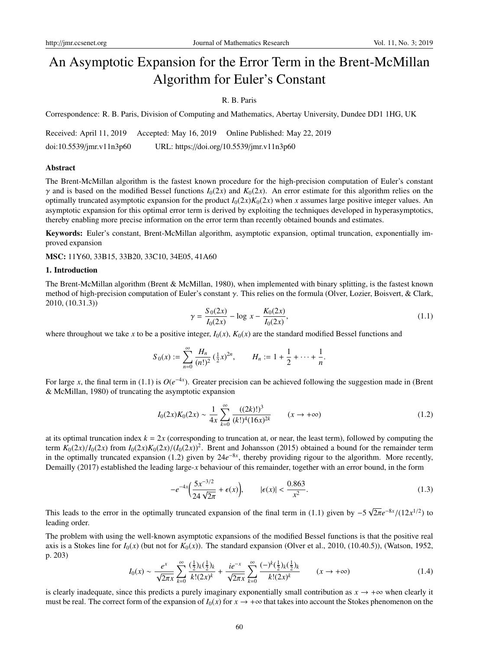# An Asymptotic Expansion for the Error Term in the Brent-McMillan Algorithm for Euler's Constant

# R. B. Paris

Correspondence: R. B. Paris, Division of Computing and Mathematics, Abertay University, Dundee DD1 1HG, UK

Received: April 11, 2019 Accepted: May 16, 2019 Online Published: May 22, 2019

doi:10.5539/jmr.v11n3p60 URL: https://doi.org/10.5539/jmr.v11n3p60

#### Abstract

The Brent-McMillan algorithm is the fastest known procedure for the high-precision computation of Euler's constant  $\gamma$  and is based on the modified Bessel functions  $I_0(2x)$  and  $K_0(2x)$ . An error estimate for this algorithm relies on the optimally truncated asymptotic expansion for the product  $I_0(2x)K_0(2x)$  when *x* assumes large positive integer values. An asymptotic expansion for this optimal error term is derived by exploiting the techniques developed in hyperasymptotics, thereby enabling more precise information on the error term than recently obtained bounds and estimates.

Keywords: Euler's constant, Brent-McMillan algorithm, asymptotic expansion, optimal truncation, exponentially improved expansion

MSC: 11Y60, 33B15, 33B20, 33C10, 34E05, 41A60

#### 1. Introduction

The Brent-McMillan algorithm (Brent & McMillan, 1980), when implemented with binary splitting, is the fastest known method of high-precision computation of Euler's constant γ. This relies on the formula (Olver, Lozier, Boisvert, & Clark, 2010, (10.31.3))

$$
\gamma = \frac{S_0(2x)}{I_0(2x)} - \log x - \frac{K_0(2x)}{I_0(2x)},
$$
\n(1.1)

where throughout we take *x* to be a positive integer,  $I_0(x)$ ,  $K_0(x)$  are the standard modified Bessel functions and

$$
S_0(x) := \sum_{n=0}^{\infty} \frac{H_n}{(n!)^2} \left(\frac{1}{2}x\right)^{2n}, \qquad H_n := 1 + \frac{1}{2} + \dots + \frac{1}{n}.
$$

For large *x*, the final term in (1.1) is *O*(*e*<sup>−</sup>4*<sup>x</sup>* ). Greater precision can be achieved following the suggestion made in (Brent & McMillan, 1980) of truncating the asymptotic expansion

$$
I_0(2x)K_0(2x) \sim \frac{1}{4x} \sum_{k=0}^{\infty} \frac{((2k)!)^3}{(k!)^4 (16x)^{2k}} \qquad (x \to +\infty)
$$
 (1.2)

at its optimal truncation index  $k = 2x$  (corresponding to truncation at, or near, the least term), followed by computing the term  $K_0(2x)/I_0(2x)$  from  $I_0(2x)K_0(2x)/(I_0(2x))^2$ . Brent and Johansson (2015) obtained a bound for the remainder term in the optimally truncated expansion (1.2) given by 24*e*<sup>−</sup>8*<sup>x</sup>* , thereby providing rigour to the algorithm. More recently, Demailly (2017) established the leading large-*x* behaviour of this remainder, together with an error bound, in the form

$$
-e^{-4x}\left(\frac{5x^{-3/2}}{24\sqrt{2\pi}} + \epsilon(x)\right), \qquad |\epsilon(x)| < \frac{0.863}{x^2}.\tag{1.3}
$$

This leads to the error in the optimally truncated expansion of the final term in (1.1) given by −5  $\sqrt{2\pi}e^{-8x}/(12x^{1/2})$  to leading order.

The problem with using the well-known asymptotic expansions of the modified Bessel functions is that the positive real axis is a Stokes line for  $I_0(x)$  (but not for  $K_0(x)$ ). The standard expansion (Olver et al., 2010, (10.40.5)), (Watson, 1952, p. 203)

$$
I_0(x) \sim \frac{e^x}{\sqrt{2\pi x}} \sum_{k=0}^{\infty} \frac{(\frac{1}{2})_k (\frac{1}{2})_k}{k! (2x)^k} + \frac{ie^{-x}}{\sqrt{2\pi x}} \sum_{k=0}^{\infty} \frac{(-)^k (\frac{1}{2})_k (\frac{1}{2})_k}{k! (2x)^k} \qquad (x \to +\infty)
$$
 (1.4)

is clearly inadequate, since this predicts a purely imaginary exponentially small contribution as  $x \to +\infty$  when clearly it must be real. The correct form of the expansion of  $I_0(x)$  for  $x \to +\infty$  that takes into account the Stokes phenomenon on the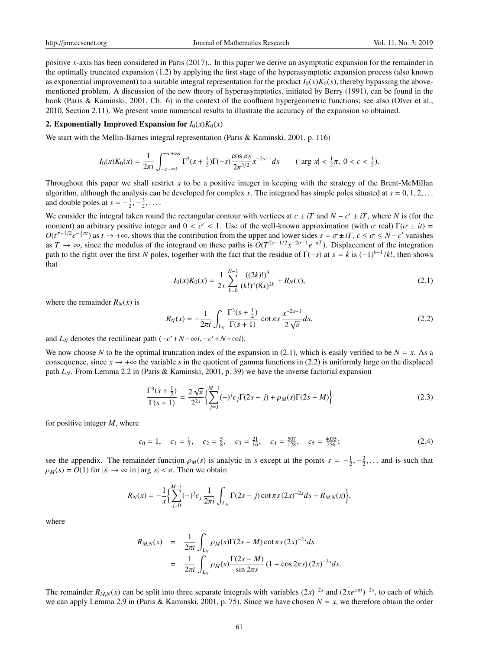positive *x*-axis has been considered in Paris (2017).. In this paper we derive an asymptotic expansion for the remainder in the optimally truncated expansion (1.2) by applying the first stage of the hyperasymptotic expansion process (also known as exponential improvement) to a suitable integral representation for the product  $I_0(x)K_0(x)$ , thereby bypassing the abovementioned problem. A discussion of the new theory of hyperasymptotics, initiated by Berry (1991), can be found in the book (Paris & Kaminski, 2001, Ch. 6) in the context of the confluent hypergeometric functions; see also (Olver et al., 2010, Section 2.11). We present some numerical results to illustrate the accuracy of the expansion so obtained.

#### 2. Exponentially Improved Expansion for  $I_0(x)K_0(x)$

We start with the Mellin-Barnes integral representation (Paris & Kaminski, 2001, p. 116)

$$
I_0(x)K_0(x) = \frac{1}{2\pi i} \int_{-c-\infty i}^{-c+\infty i} \Gamma^3(s+\tfrac{1}{2})\Gamma(-s)\frac{\cos \pi s}{2\pi^{3/2}}x^{-2s-1}ds \qquad (|\arg x| < \tfrac{1}{2}\pi, \ 0 < c < \tfrac{1}{2}).
$$

Throughout this paper we shall restrict *x* to be a positive integer in keeping with the strategy of the Brent-McMillan algorithm, although the analysis can be developed for complex *x*. The integrand has simple poles situated at  $s = 0, 1, 2, \ldots$ and double poles at  $s = -\frac{1}{2}, -\frac{3}{2}, \dots$ .

We consider the integral taken round the rectangular contour with vertices at  $c \pm iT$  and  $N - c' \pm iT$ , where *N* is (for the moment) an arbitrary positive integer and  $0 < c' < 1$ . Use of the well-known approximation (with  $\sigma$  real)  $\Gamma(\sigma \pm it)$  =  $O(t^{\sigma-1/2}e^{-\frac{1}{2}\pi t})$  as  $t \to +\infty$ , shows that the contribution from the upper and lower sides  $s = \sigma \pm iT$ ,  $c \le \sigma \le N - c'$  vanishes as  $T \to \infty$ , since the modulus of the integrand on these paths is  $O(T^{2\sigma-1/2}x^{-2\sigma-1}e^{-\pi T})$ . Displacement of the integration path to the right over the first *N* poles, together with the fact that the residue of  $\Gamma(-s)$  at  $s = k$  is  $(-1)^{k-1}/k!$ , then shows that

$$
I_0(x)K_0(x) = \frac{1}{2x} \sum_{k=0}^{N-1} \frac{((2k)!)^3}{(k!)^4 (8x)^{2k}} + R_N(x),\tag{2.1}
$$

where the remainder  $R_N(x)$  is

$$
R_N(x) = -\frac{1}{2\pi i} \int_{L_N} \frac{\Gamma^3(s + \frac{1}{2})}{\Gamma(s + 1)} \cot \pi s \frac{x^{-2s - 1}}{2\sqrt{\pi}} ds,
$$
 (2.2)

and  $L_N$  denotes the rectilinear path  $(-c' + N - \infty i, -c' + N + \infty i)$ .

We now choose N to be the optimal truncation index of the expansion in (2.1), which is easily verified to be  $N = x$ . As a consequence, since  $x \to +\infty$  the variable *s* in the quotient of gamma functions in (2.2) is uniformly large on the displaced path *LN*. From Lemma 2.2 in (Paris & Kaminski, 2001, p. 39) we have the inverse factorial expansion

$$
\frac{\Gamma^3(s+\frac{1}{2})}{\Gamma(s+1)} = \frac{2\sqrt{\pi}}{2^{2s}} \left\{ \sum_{j=0}^{M-1} (-)^j c_j \Gamma(2s-j) + \rho_M(s) \Gamma(2s-M) \right\}
$$
(2.3)

for positive integer *M*, where

 $c_0 = 1$ ,  $c_1 = \frac{1}{2}$ ,  $c_2 = \frac{5}{8}$ ,  $c_3 = \frac{21}{16}$ ,  $c_4 = \frac{507}{128}$ ,  $c_5 = \frac{4035}{256}$ ; (2.4)

see the appendix. The remainder function  $\rho_M(s)$  is analytic in *s* except at the points  $s = -\frac{1}{2}, -\frac{3}{2}, \dots$  and is such that  $\rho_M(s) = O(1)$  for  $|s| \to \infty$  in  $|\arg s| < \pi$ . Then we obtain

$$
R_N(x) = -\frac{1}{x} \Biggl\{ \sum_{j=0}^{M-1} (-)^j c_j \frac{1}{2\pi i} \int_{L_N} \Gamma(2s-j) \cot \pi s \, (2x)^{-2s} ds + R_{M,N}(x) \Biggr\},\,
$$

where

$$
R_{M,N}(x) = \frac{1}{2\pi i} \int_{L_N} \rho_M(s) \Gamma(2s - M) \cot \pi s (2x)^{-2s} ds
$$
  
= 
$$
\frac{1}{2\pi i} \int_{L_N} \rho_M(s) \frac{\Gamma(2s - M)}{\sin 2\pi s} (1 + \cos 2\pi s) (2x)^{-2s} ds.
$$

The remainder  $R_{M,N}(x)$  can be split into three separate integrals with variables  $(2x)^{-2s}$  and  $(2xe^{\pm \pi i})^{-2s}$ , to each of which we can apply Lemma 2.9 in (Paris & Kaminski, 2001, p. 75). Since we have chosen  $N = x$ , we therefore obtain the order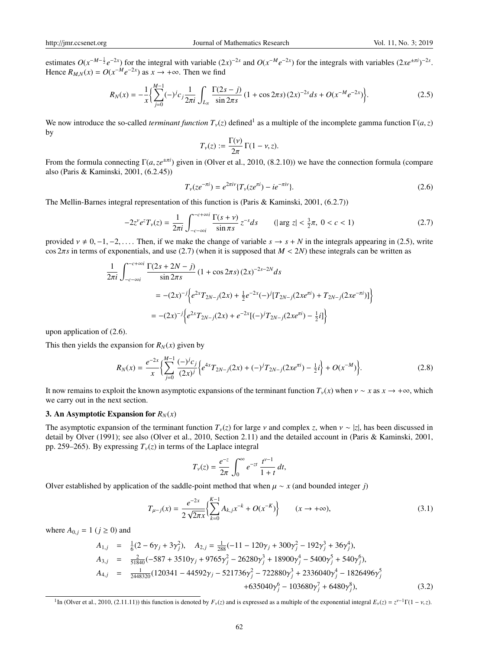estimates  $O(x^{-M-\frac{1}{2}}e^{-2x})$  for the integral with variable  $(2x)^{-2s}$  and  $O(x^{-M}e^{-2x})$  for the integrals with variables  $(2xe^{\pm \pi i})^{-2s}$ . Hence  $R_{M,N}(x) = O(x^{-M}e^{-2x})$  as  $x \to +\infty$ . Then we find

$$
R_N(x) = -\frac{1}{x} \Biggl\{ \sum_{j=0}^{M-1} (-)^j c_j \frac{1}{2\pi i} \int_{L_N} \frac{\Gamma(2s-j)}{\sin 2\pi s} (1 + \cos 2\pi s) (2x)^{-2s} ds + O(x^{-M} e^{-2x}) \Biggr\}.
$$
 (2.5)

We now introduce the so-called *terminant function*  $T_v(z)$  defined<sup>1</sup> as a multiple of the incomplete gamma function  $\Gamma(a, z)$ by

$$
T_{\nu}(z) := \frac{\Gamma(\nu)}{2\pi} \Gamma(1-\nu, z).
$$

From the formula connecting Γ(*a*,*ze*±π*<sup>i</sup>* ) given in (Olver et al., 2010, (8.2.10)) we have the connection formula (compare also (Paris & Kaminski, 2001, (6.2.45))

$$
T_{\nu}(ze^{-\pi i}) = e^{2\pi i\nu} \{ T_{\nu}(ze^{\pi i}) - ie^{-\pi i\nu} \}.
$$
\n(2.6)

The Mellin-Barnes integral representation of this function is (Paris & Kaminski, 2001, (6.2.7))

$$
-2z^{\nu}e^{z}T_{\nu}(z) = \frac{1}{2\pi i} \int_{-c-\infty i}^{-c+\infty i} \frac{\Gamma(s+\nu)}{\sin \pi s} z^{-s} ds \qquad (|\arg z| < \frac{3}{2}\pi, \ 0 < c < 1) \tag{2.7}
$$

provided  $v \neq 0, -1, -2, \ldots$ . Then, if we make the change of variable  $s \to s + N$  in the integrals appearing in (2.5), write  $\cos 2\pi s$  in terms of exponentials, and use (2.7) (when it is supposed that  $M < 2N$ ) these integrals can be written as

$$
\frac{1}{2\pi i} \int_{-c-\infty i}^{-c+\infty i} \frac{\Gamma(2s+2N-j)}{\sin 2\pi s} (1 + \cos 2\pi s) (2x)^{-2s-2N} ds
$$
  
= -(2x)<sup>-j</sup>  $\Big\{ e^{2x} T_{2N-j}(2x) + \frac{1}{2} e^{-2x} (-)^j [T_{2N-j}(2xe^{\pi i}) + T_{2N-j}(2xe^{-\pi i})] \Big\}$   
= -(2x)<sup>-j</sup>  $\Big\{ e^{2x} T_{2N-j}(2x) + e^{-2x} [(-)^j T_{2N-j}(2xe^{\pi i}) - \frac{1}{2}i] \Big\}$ 

upon application of (2.6).

This then yields the expansion for  $R_N(x)$  given by

$$
R_N(x) = \frac{e^{-2x}}{x} \left\{ \sum_{j=0}^{M-1} \frac{(-)^j c_j}{(2x)^j} \left\{ e^{4x} T_{2N-j}(2x) + (-)^j T_{2N-j}(2x e^{\pi i}) - \frac{1}{2} i \right\} + O(x^{-M}) \right\}.
$$
 (2.8)

It now remains to exploit the known asymptotic expansions of the terminant function  $T_{\nu}(x)$  when  $\nu \sim x$  as  $x \to +\infty$ , which we carry out in the next section.

## 3. An Asymptotic Expansion for  $R_N(x)$

The asymptotic expansion of the terminant function  $T_v(z)$  for large v and complex *z*, when  $v \sim |z|$ , has been discussed in detail by Olver (1991); see also (Olver et al., 2010, Section 2.11) and the detailed account in (Paris & Kaminski, 2001, pp. 259–265). By expressing  $T<sub>v</sub>(z)$  in terms of the Laplace integral

$$
T_{\nu}(z) = \frac{e^{-z}}{2\pi} \int_0^{\infty} e^{-zt} \frac{t^{\nu-1}}{1+t} dt,
$$

Olver established by application of the saddle-point method that when  $\mu \sim x$  (and bounded integer *j*)

$$
T_{\mu-j}(x) = \frac{e^{-2x}}{2\sqrt{2\pi x}} \left\{ \sum_{k=0}^{K-1} A_{k,j} x^{-k} + O(x^{-K}) \right\} \qquad (x \to +\infty),
$$
\n(3.1)

where  $A_{0,j} = 1$  ( $j \ge 0$ ) and

$$
A_{1,j} = \frac{1}{6}(2 - 6\gamma_j + 3\gamma_j^2), \quad A_{2,j} = \frac{1}{288}(-11 - 120\gamma_j + 300\gamma_j^2 - 192\gamma_j^3 + 36\gamma_j^4),
$$
  
\n
$$
A_{3,j} = \frac{2}{51840}(-587 + 3510\gamma_j + 9765\gamma_j^2 - 26280\gamma_j^3 + 18900\gamma_j^4 - 5400\gamma_j^5 + 540\gamma_j^6),
$$
  
\n
$$
A_{4,j} = \frac{1}{2448320}(120341 - 44592\gamma_j - 521736\gamma_j^2 - 722880\gamma_j^3 + 2336040\gamma_j^4 - 1826496\gamma_j^5 + 635040\gamma_j^6 - 103680\gamma_j^7 + 6480\gamma_j^8),
$$
  
\n(3.2)

<sup>1</sup>In (Olver et al., 2010, (2.11.11)) this function is denoted by  $F_v(z)$  and is expressed as a multiple of the exponential integral  $E_v(z) = z^{v-1}\Gamma(1 - v, z)$ .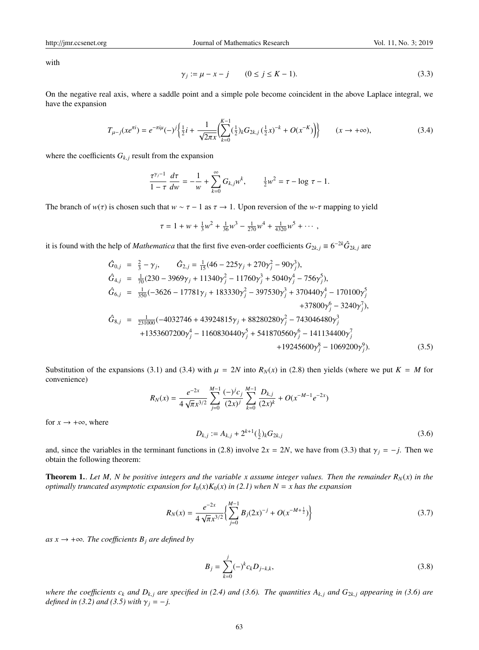with

$$
\gamma_j := \mu - x - j \qquad (0 \le j \le K - 1). \tag{3.3}
$$

On the negative real axis, where a saddle point and a simple pole become coincident in the above Laplace integral, we have the expansion

$$
T_{\mu-j}(xe^{\pi i}) = e^{-\pi i \mu}(-)^j \left\{ \frac{1}{2}i + \frac{1}{\sqrt{2\pi x}} \left( \sum_{k=0}^{K-1} (\frac{1}{2})_k G_{2k,j} (\frac{1}{2}x)^{-k} + O(x^{-K}) \right) \right\} \qquad (x \to +\infty),
$$
\n(3.4)

where the coefficients  $G_{k,j}$  result from the expansion

$$
\frac{\tau^{\gamma_j-1}}{1-\tau}\frac{d\tau}{dw} = -\frac{1}{w} + \sum_{k=0}^{\infty} G_{k,j} w^k, \qquad \frac{1}{2}w^2 = \tau - \log \tau - 1.
$$

The branch of  $w(\tau)$  is chosen such that  $w \sim \tau - 1$  as  $\tau \to 1$ . Upon reversion of the *w*- $\tau$  mapping to yield

$$
\tau = 1 + w + \frac{1}{3}w^2 + \frac{1}{36}w^3 - \frac{1}{270}w^4 + \frac{1}{4320}w^5 + \cdots,
$$

it is found with the help of *Mathematica* that the first five even-order coefficients  $G_{2k,j} \equiv 6^{-2k} \hat{G}_{2k,j}$  are

$$
\hat{G}_{0,j} = \frac{2}{3} - \gamma_j, \qquad \hat{G}_{2,j} = \frac{1}{15}(46 - 225\gamma_j + 270\gamma_j^2 - 90\gamma_j^3), \n\hat{G}_{4,j} = \frac{1}{70}(230 - 3969\gamma_j + 11340\gamma_j^2 - 11760\gamma_j^3 + 5040\gamma_j^4 - 756\gamma_j^5), \n\hat{G}_{6,j} = \frac{1}{350}(-3626 - 17781\gamma_j + 183330\gamma_j^2 - 397530\gamma_j^3 + 370440\gamma_j^4 - 170100\gamma_j^5 + 37800\gamma_j^6 - 3240\gamma_j^7), \n\hat{G}_{8,j} = \frac{1}{231000}(-4032746 + 43924815\gamma_j + 88280280\gamma_j^2 - 743046480\gamma_j^3 + 1353607200\gamma_j^4 - 1160830440\gamma_j^5 + 541870560\gamma_j^6 - 141134400\gamma_j^7 + 19245600\gamma_j^8 - 1069200\gamma_j^9).
$$
\n(3.5)

Substitution of the expansions (3.1) and (3.4) with  $\mu = 2N$  into  $R_N(x)$  in (2.8) then yields (where we put  $K = M$  for convenience)

$$
R_N(x) = \frac{e^{-2x}}{4\sqrt{\pi}x^{3/2}} \sum_{j=0}^{M-1} \frac{(-)^j c_j}{(2x)^j} \sum_{k=0}^{M-1} \frac{D_{k,j}}{(2x)^k} + O(x^{-M-1}e^{-2x})
$$

 $D_{k,j} := A_{k,j} + 2^{k+1}(\frac{1}{2})_k G_{2k,j}$  (3.6)

and, since the variables in the terminant functions in (2.8) involve  $2x = 2N$ , we have from (3.3) that  $\gamma_j = -j$ . Then we obtain the following theorem:

**Theorem 1.** Let M, N be positive integers and the variable x assume integer values. Then the remainder  $R_N(x)$  in the *optimally truncated asymptotic expansion for*  $I_0(x)K_0(x)$  *in* (2.1) when  $N = x$  has the expansion

$$
R_N(x) = \frac{e^{-2x}}{4\sqrt{\pi}x^{3/2}} \left\{ \sum_{j=0}^{M-1} B_j(2x)^{-j} + O(x^{-M+\frac{1}{2}}) \right\}
$$
(3.7)

*as x* →  $+\infty$ *. The coefficients B<sub><i>j*</sub> are defined by

for  $x \rightarrow +\infty$ , where

$$
B_j = \sum_{k=0}^{j} (-)^k c_k D_{j-k,k},
$$
\n(3.8)

*where the coefficients*  $c_k$  *and*  $D_{k,j}$  *are specified in (2.4) and (3.6). The quantities*  $A_{k,j}$  *<i>and*  $G_{2k,j}$  *appearing in (3.6) are defined in (3.2) and (3.5) with*  $\gamma_j = -j$ .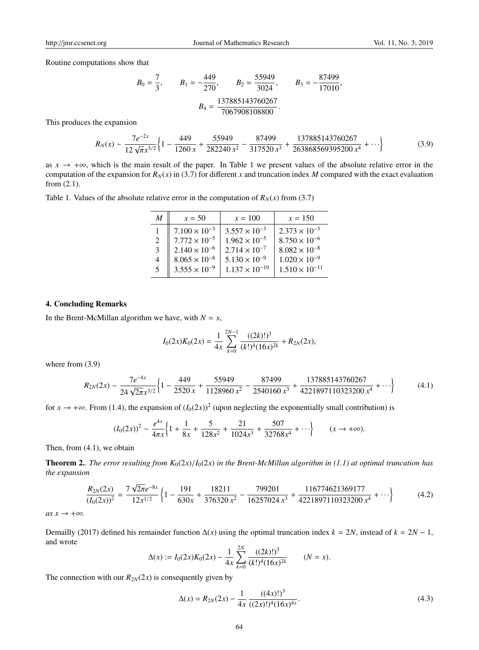Routine computations show that

$$
B_0 = \frac{7}{3}
$$
,  $B_1 = -\frac{449}{270}$ ,  $B_2 = \frac{55949}{3024}$ ,  $B_3 = -\frac{87499}{17010}$ ,  
 $B_4 = \frac{137885143760267}{7067908108800}$ .

This produces the expansion

$$
R_N(x) \sim \frac{7e^{-2x}}{12\sqrt{\pi}x^{3/2}} \left\{ 1 - \frac{449}{1260x} + \frac{55949}{282240x^2} - \frac{87499}{317520x^3} + \frac{137885143760267}{263868569395200x^4} + \cdots \right\}
$$
(3.9)

as  $x \to +\infty$ , which is the main result of the paper. In Table 1 we present values of the absolute relative error in the computation of the expansion for  $R_N(x)$  in (3.7) for different *x* and truncation index *M* compared with the exact evaluation from (2.1).

|  |  | Table 1. Values of the absolute relative error in the computation of $R_N(x)$ from (3.7) |  |  |  |  |  |  |  |  |  |
|--|--|------------------------------------------------------------------------------------------|--|--|--|--|--|--|--|--|--|
|--|--|------------------------------------------------------------------------------------------|--|--|--|--|--|--|--|--|--|

| M  | $x = 50$               | $x = 100$               | $x = 150$               |
|----|------------------------|-------------------------|-------------------------|
|    | $7.100 \times 10^{-3}$ | $3.557 \times 10^{-3}$  | $2.373 \times 10^{-3}$  |
| 2  | $7.772 \times 10^{-5}$ | $1.962 \times 10^{-5}$  | $8.750 \times 10^{-6}$  |
| 3  | $2.140 \times 10^{-6}$ | $2.714 \times 10^{-7}$  | $8.082 \times 10^{-8}$  |
| 4  | $8.065 \times 10^{-8}$ | $5.130 \times 10^{-9}$  | $1.020 \times 10^{-9}$  |
| .5 | $3.555 \times 10^{-9}$ | $1.137 \times 10^{-10}$ | $1.510 \times 10^{-11}$ |

#### 4. Concluding Remarks

In the Brent-McMillan algorithm we have, with  $N = x$ ,

$$
I_0(2x)K_0(2x) = \frac{1}{4x} \sum_{k=0}^{2N-1} \frac{((2k)!)^3}{(k!)^4 (16x)^{2k}} + R_{2N}(2x),
$$

where from (3.9)

$$
R_{2N}(2x) \sim \frac{7e^{-4x}}{24\sqrt{2\pi}x^{3/2}} \left\{ 1 - \frac{449}{2520x} + \frac{55949}{1128960x^2} - \frac{87499}{2540160x^3} + \frac{137885143760267}{4221897110323200x^4} + \cdots \right\}
$$
(4.1)

for  $x \to +\infty$ . From (1.4), the expansion of  $(I_0(2x))^2$  (upon neglecting the exponentially small contribution) is

$$
(I_0(2x))^2 \sim \frac{e^{4x}}{4\pi x} \Big\{ 1 + \frac{1}{8x} + \frac{5}{128x^2} + \frac{21}{1024x^3} + \frac{507}{32768x^4} + \cdots \Big\} \qquad (x \to +\infty).
$$

Then, from (4.1), we obtain

**Theorem 2..** *The error resulting from*  $K_0(2x)/I_0(2x)$  *in the Brent-McMillan algorithm in (1.1) at optimal truncation has the expansion*

$$
\frac{R_{2N}(2x)}{(I_0(2x))^2} = \frac{7\sqrt{2\pi}e^{-8x}}{12x^{1/2}} \left\{ 1 - \frac{191}{630x} + \frac{18211}{376320x^2} - \frac{799201}{16257024x^3} + \frac{116774621369177}{4221897110323200x^4} + \cdots \right\}
$$
(4.2)

 $as x \rightarrow +\infty$ *.* 

Demailly (2017) defined his remainder function  $\Delta(x)$  using the optimal truncation index  $k = 2N$ , instead of  $k = 2N - 1$ , and wrote 2*N*

$$
\Delta(x) := I_0(2x)K_0(2x) - \frac{1}{4x} \sum_{k=0}^{2N} \frac{((2k)!)^3}{(k!)^4 (16x)^{2k}} \qquad (N = x).
$$

The connection with our  $R_{2N}(2x)$  is consequently given by

$$
\Delta(x) = R_{2N}(2x) - \frac{1}{4x} \frac{((4x)!)^3}{((2x)!)^4 (16x)^{4x}}.
$$
\n(4.3)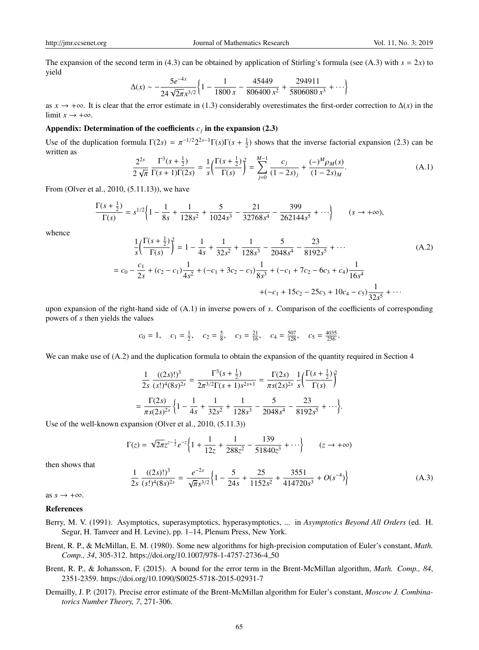The expansion of the second term in (4.3) can be obtained by application of Stirling's formula (see (A.3) with  $s = 2x$ ) to yield

$$
\Delta(x) \sim -\frac{5e^{-4x}}{24\sqrt{2\pi}x^{3/2}} \left\{ 1 - \frac{1}{1800x} - \frac{45449}{806400x^2} + \frac{294911}{5806080x^3} + \cdots \right\}
$$

as  $x \to +\infty$ . It is clear that the error estimate in (1.3) considerably overestimates the first-order correction to  $\Delta(x)$  in the limit  $x \rightarrow +\infty$ .

#### Appendix: Determination of the coefficients  $c_j$  in the expansion (2.3)

Use of the duplication formula  $\Gamma(2s) = \pi^{-1/2} 2^{2s-1} \Gamma(s) \Gamma(s + \frac{1}{2})$  shows that the inverse factorial expansion (2.3) can be written as

$$
\frac{2^{2s}}{2\sqrt{\pi}}\frac{\Gamma^3(s+\frac{1}{2})}{\Gamma(s+1)\Gamma(2s)} = \frac{1}{s}\left(\frac{\Gamma(s+\frac{1}{2})}{\Gamma(s)}\right)^2 = \sum_{j=0}^{M-1} \frac{c_j}{(1-2s)_j} + \frac{(-)^M \rho_M(s)}{(1-2s)_M}.
$$
(A.1)

From (Olver et al., 2010, (5.11.13)), we have

$$
\frac{\Gamma(s+\frac{1}{2})}{\Gamma(s)} = s^{1/2} \Biggl\{ 1 - \frac{1}{8s} + \frac{1}{128s^2} + \frac{5}{1024s^3} - \frac{21}{32768s^4} - \frac{399}{262144s^5} + \cdots \Biggr\} \qquad (s \to +\infty),
$$

whence

$$
\frac{1}{s} \left( \frac{\Gamma(s + \frac{1}{2})}{\Gamma(s)} \right)^2 = 1 - \frac{1}{4s} + \frac{1}{32s^2} + \frac{1}{128s^3} - \frac{5}{2048s^4} - \frac{23}{8192s^5} + \cdots
$$
\n
$$
= c_0 - \frac{c_1}{2s} + (c_2 - c_1) \frac{1}{4s^2} + (-c_1 + 3c_2 - c_3) \frac{1}{8s^3} + (-c_1 + 7c_2 - 6c_3 + c_4) \frac{1}{16s^4} + (-c_1 + 15c_2 - 25c_3 + 10c_4 - c_5) \frac{1}{32s^5} + \cdots
$$
\n(A.2)

upon expansion of the right-hand side of (A.1) in inverse powers of *s*. Comparison of the coefficients of corresponding powers of *s* then yields the values

$$
c_0 = 1
$$
,  $c_1 = \frac{1}{2}$ ,  $c_2 = \frac{5}{8}$ ,  $c_3 = \frac{21}{16}$ ,  $c_4 = \frac{507}{128}$ ,  $c_5 = \frac{4035}{256}$ .

We can make use of (A.2) and the duplication formula to obtain the expansion of the quantity required in Section 4

$$
\frac{1}{2s} \frac{((2s)!)^3}{(s!)^4 (8s)^{2s}} = \frac{\Gamma^3 (s + \frac{1}{2})}{2\pi^{3/2} \Gamma(s + 1) s^{2s+1}} = \frac{\Gamma(2s)}{\pi s (2s)^{2s}} \frac{1}{s} \left( \frac{\Gamma(s + \frac{1}{2})}{\Gamma(s)} \right)^2
$$

$$
= \frac{\Gamma(2s)}{\pi s (2s)^{2s}} \left\{ 1 - \frac{1}{4s} + \frac{1}{32s^2} + \frac{1}{128s^3} - \frac{5}{2048s^4} - \frac{23}{8192s^5} + \cdots \right\}.
$$

Use of the well-known expansion (Olver et al., 2010, (5.11.3))

$$
\Gamma(z) = \sqrt{2\pi} z^{z-\frac{1}{2}} e^{-z} \left\{ 1 + \frac{1}{12z} + \frac{1}{288z^2} - \frac{139}{51840z^3} + \cdots \right\} \qquad (z \to +\infty)
$$

then shows that

$$
\frac{1}{2s} \frac{((2s)!)^3}{(s!)^4 (8s)^{2s}} = \frac{e^{-2s}}{\sqrt{\pi} s^{3/2}} \left\{ 1 - \frac{5}{24s} + \frac{25}{1152s^2} + \frac{3551}{414720s^3} + O(s^{-4}) \right\}
$$
(A.3)

as  $s \rightarrow +\infty$ .

#### References

- Berry, M. V. (1991). Asymptotics, superasymptotics, hyperasymptotics, ... in *Asymptotics Beyond All Orders* (ed. H. Segur, H. Tanveer and H. Levine), pp. 1–14, Plenum Press, New York.
- Brent, R. P., & McMillan, E. M. (1980). Some new algorithms for high-precision computation of Euler's constant, *Math. Comp., 34*, 305-312. https://doi.org/10.1007/978-1-4757-2736-4 50
- Brent, R. P., & Johansson, F. (2015). A bound for the error term in the Brent-McMillan algorithm, *Math. Comp., 84*, 2351-2359. https://doi.org/10.1090/S0025-5718-2015-02931-7
- Demailly, J. P. (2017). Precise error estimate of the Brent-McMillan algorithm for Euler's constant, *Moscow J. Combinatorics Number Theory, 7*, 271-306.